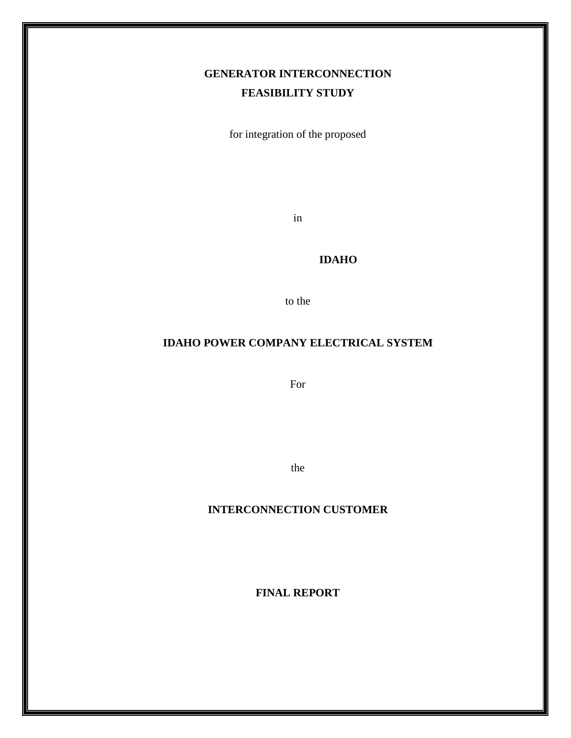# **GENERATOR INTERCONNECTION FEASIBILITY STUDY**

for integration of the proposed

in

#### **IDAHO**

to the

#### **IDAHO POWER COMPANY ELECTRICAL SYSTEM**

For

the

## **INTERCONNECTION CUSTOMER**

**FINAL REPORT**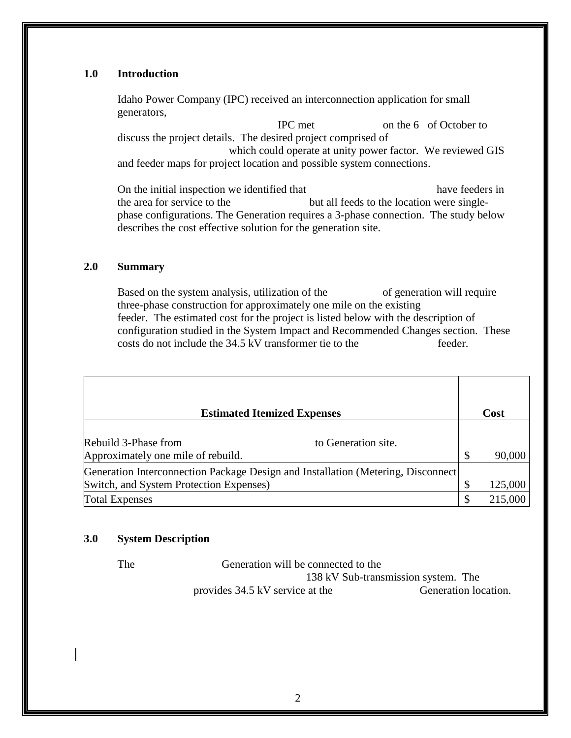#### **1.0 Introduction**

Idaho Power Company (IPC) received an interconnection application for small generators,

 IPC met on the 6 of October to discuss the project details. The desired project comprised of which could operate at unity power factor. We reviewed GIS and feeder maps for project location and possible system connections.

On the initial inspection we identified that have feeders in the area for service to the but all feeds to the location were singlephase configurations. The Generation requires a 3-phase connection. The study below describes the cost effective solution for the generation site.

#### **2.0 Summary**

Based on the system analysis, utilization of the of generation will require three-phase construction for approximately one mile on the existing feeder. The estimated cost for the project is listed below with the description of configuration studied in the System Impact and Recommended Changes section. These costs do not include the 34.5 kV transformer tie to the feeder.

| <b>Estimated Itemized Expenses</b>                                                                                           |                           | Cost    |
|------------------------------------------------------------------------------------------------------------------------------|---------------------------|---------|
| Rebuild 3-Phase from<br>to Generation site.<br>Approximately one mile of rebuild.                                            | $\boldsymbol{\mathsf{S}}$ | 90,000  |
| Generation Interconnection Package Design and Installation (Metering, Disconnect)<br>Switch, and System Protection Expenses) |                           | 125,000 |
| <b>Total Expenses</b>                                                                                                        | \$                        | 215,000 |

#### **3.0 System Description**

| <b>The</b> | Generation will be connected to the |                                     |
|------------|-------------------------------------|-------------------------------------|
|            |                                     | 138 kV Sub-transmission system. The |
|            | provides 34.5 kV service at the     | Generation location.                |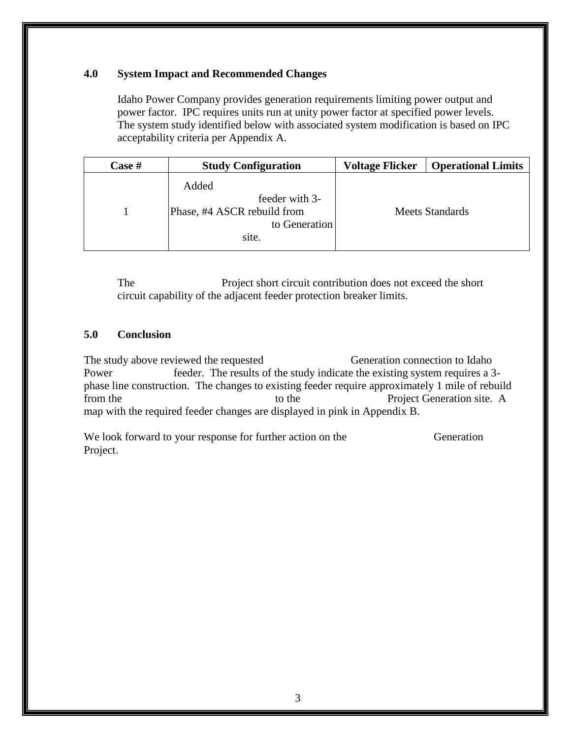#### **4.0 System Impact and Recommended Changes**

Idaho Power Company provides generation requirements limiting power output and power factor. IPC requires units run at unity power factor at specified power levels. The system study identified below with associated system modification is based on IPC acceptability criteria per Appendix A.

| Case # | <b>Study Configuration</b>                                                       | <b>Voltage Flicker</b> | <b>Operational Limits</b> |
|--------|----------------------------------------------------------------------------------|------------------------|---------------------------|
|        | Added<br>feeder with 3-<br>Phase, #4 ASCR rebuild from<br>to Generation<br>site. |                        | <b>Meets Standards</b>    |

The Project short circuit contribution does not exceed the short circuit capability of the adjacent feeder protection breaker limits.

## **5.0 Conclusion**

The study above reviewed the requested Generation connection to Idaho Power feeder. The results of the study indicate the existing system requires a 3phase line construction. The changes to existing feeder require approximately 1 mile of rebuild from the to the to the Project Generation site. A map with the required feeder changes are displayed in pink in Appendix B.

We look forward to your response for further action on the Generation Project.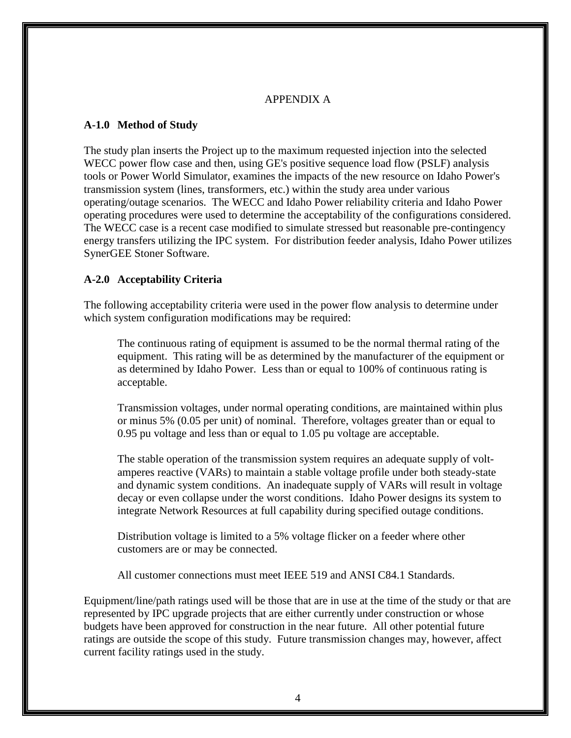#### APPENDIX A

#### **A-1.0 Method of Study**

The study plan inserts the Project up to the maximum requested injection into the selected WECC power flow case and then, using GE's positive sequence load flow (PSLF) analysis tools or Power World Simulator, examines the impacts of the new resource on Idaho Power's transmission system (lines, transformers, etc.) within the study area under various operating/outage scenarios. The WECC and Idaho Power reliability criteria and Idaho Power operating procedures were used to determine the acceptability of the configurations considered. The WECC case is a recent case modified to simulate stressed but reasonable pre-contingency energy transfers utilizing the IPC system. For distribution feeder analysis, Idaho Power utilizes SynerGEE Stoner Software.

#### **A-2.0 Acceptability Criteria**

The following acceptability criteria were used in the power flow analysis to determine under which system configuration modifications may be required:

The continuous rating of equipment is assumed to be the normal thermal rating of the equipment. This rating will be as determined by the manufacturer of the equipment or as determined by Idaho Power. Less than or equal to 100% of continuous rating is acceptable.

Transmission voltages, under normal operating conditions, are maintained within plus or minus 5% (0.05 per unit) of nominal. Therefore, voltages greater than or equal to 0.95 pu voltage and less than or equal to 1.05 pu voltage are acceptable.

The stable operation of the transmission system requires an adequate supply of voltamperes reactive (VARs) to maintain a stable voltage profile under both steady-state and dynamic system conditions. An inadequate supply of VARs will result in voltage decay or even collapse under the worst conditions. Idaho Power designs its system to integrate Network Resources at full capability during specified outage conditions.

Distribution voltage is limited to a 5% voltage flicker on a feeder where other customers are or may be connected.

All customer connections must meet IEEE 519 and ANSI C84.1 Standards.

Equipment/line/path ratings used will be those that are in use at the time of the study or that are represented by IPC upgrade projects that are either currently under construction or whose budgets have been approved for construction in the near future. All other potential future ratings are outside the scope of this study. Future transmission changes may, however, affect current facility ratings used in the study.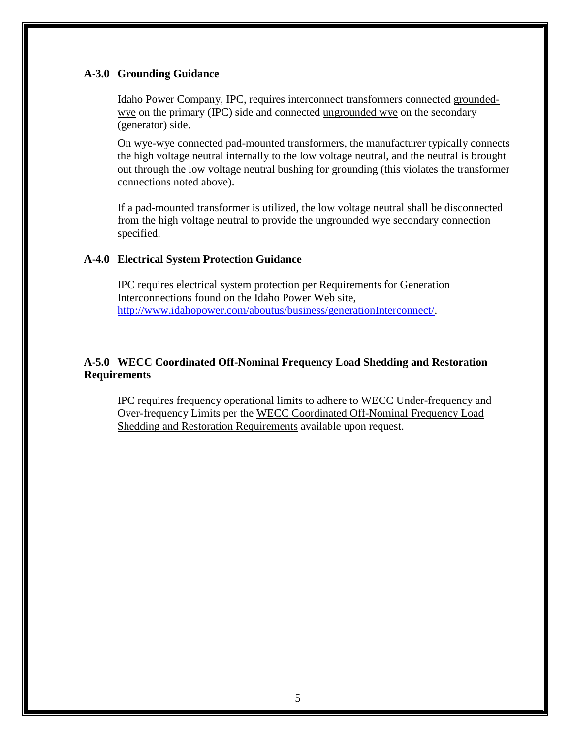#### **A-3.0 Grounding Guidance**

Idaho Power Company, IPC, requires interconnect transformers connected groundedwye on the primary (IPC) side and connected ungrounded wye on the secondary (generator) side.

On wye-wye connected pad-mounted transformers, the manufacturer typically connects the high voltage neutral internally to the low voltage neutral, and the neutral is brought out through the low voltage neutral bushing for grounding (this violates the transformer connections noted above).

If a pad-mounted transformer is utilized, the low voltage neutral shall be disconnected from the high voltage neutral to provide the ungrounded wye secondary connection specified.

#### **A-4.0 Electrical System Protection Guidance**

IPC requires electrical system protection per Requirements for Generation Interconnections found on the Idaho Power Web site, [http://www.idahopower.com/aboutus/business/generationInterconnect/.](http://www.idahopower.com/aboutus/business/generationInterconnect/)

#### **A-5.0 WECC Coordinated Off-Nominal Frequency Load Shedding and Restoration Requirements**

IPC requires frequency operational limits to adhere to WECC Under-frequency and Over-frequency Limits per the WECC Coordinated Off-Nominal Frequency Load Shedding and Restoration Requirements available upon request.